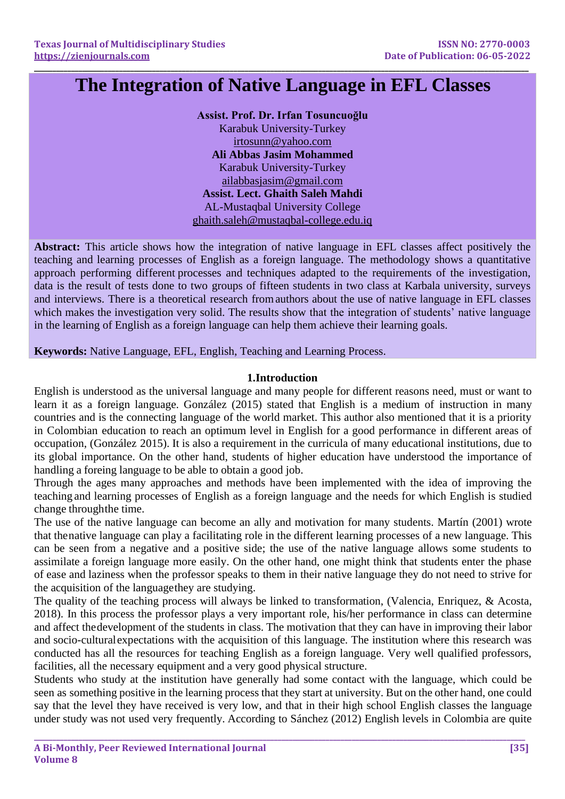# **The Integration of Native Language in EFL Classes**

**\_\_\_\_\_\_\_\_\_\_\_\_\_\_\_\_\_\_\_\_\_\_\_\_\_\_\_\_\_\_\_\_\_\_\_\_\_\_\_\_\_\_\_\_\_\_\_\_\_\_\_\_\_\_\_\_\_\_\_\_\_\_\_\_\_\_\_\_\_\_\_\_\_\_\_\_\_\_\_\_\_\_\_\_\_\_\_\_\_\_\_\_\_\_\_\_\_\_\_\_\_\_\_\_\_\_\_\_\_\_\_\_\_\_\_\_\_\_\_\_\_\_\_\_\_\_\_\_\_\_\_\_\_\_**

**Assist. Prof. Dr. Irfan Tosuncuoğlu** Karabuk University-Turkey [irtosunn@yahoo.com](mailto:irtosunn@yahoo.com) **Ali Abbas Jasim Mohammed** Karabuk University-Turkey [ailabbasjasim@gmail.com](mailto:ailabbasjasim@gmail.com) **Assist. Lect. Ghaith Saleh Mahdi** AL-Mustaqbal University College [ghaith.saleh@mustaqbal-college.edu.iq](mailto:ghaith.saleh@mustaqbal-college.edu.iq)

**Abstract:** This article shows how the integration of native language in EFL classes affect positively the teaching and learning processes of English as a foreign language. The methodology shows a quantitative approach performing different processes and techniques adapted to the requirements of the investigation, data is the result of tests done to two groups of fifteen students in two class at Karbala university, surveys and interviews. There is a theoretical research fromauthors about the use of native language in EFL classes which makes the investigation very solid. The results show that the integration of students' native language in the learning of English as a foreign language can help them achieve their learning goals.

**Keywords:** Native Language, EFL, English, Teaching and Learning Process.

# **1.Introduction**

English is understood as the universal language and many people for different reasons need, must or want to learn it as a foreign language. González (2015) stated that English is a medium of instruction in many countries and is the connecting language of the world market. This author also mentioned that it is a priority in Colombian education to reach an optimum level in English for a good performance in different areas of occupation, (González 2015). It is also a requirement in the curricula of many educational institutions, due to its global importance. On the other hand, students of higher education have understood the importance of handling a foreing language to be able to obtain a good job.

Through the ages many approaches and methods have been implemented with the idea of improving the teaching and learning processes of English as a foreign language and the needs for which English is studied change throughthe time.

The use of the native language can become an ally and motivation for many students. Martín (2001) wrote that thenative language can play a facilitating role in the different learning processes of a new language. This can be seen from a negative and a positive side; the use of the native language allows some students to assimilate a foreign language more easily. On the other hand, one might think that students enter the phase of ease and laziness when the professor speaks to them in their native language they do not need to strive for the acquisition of the languagethey are studying.

The quality of the teaching process will always be linked to transformation, (Valencia, Enriquez, & Acosta, 2018). In this process the professor plays a very important role, his/her performance in class can determine and affect thedevelopment of the students in class. The motivation that they can have in improving their labor and socio-culturalexpectations with the acquisition of this language. The institution where this research was conducted has all the resources for teaching English as a foreign language. Very well qualified professors, facilities, all the necessary equipment and a very good physical structure.

Students who study at the institution have generally had some contact with the language, which could be seen as something positive in the learning process that they start at university. But on the other hand, one could say that the level they have received is very low, and that in their high school English classes the language under study was not used very frequently. According to Sánchez (2012) English levels in Colombia are quite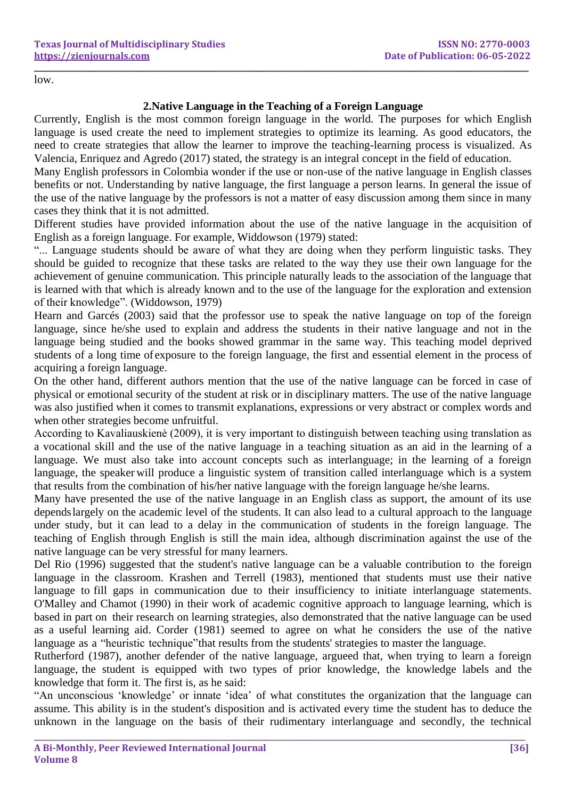low.

# **2.Native Language in the Teaching of a Foreign Language**

**\_\_\_\_\_\_\_\_\_\_\_\_\_\_\_\_\_\_\_\_\_\_\_\_\_\_\_\_\_\_\_\_\_\_\_\_\_\_\_\_\_\_\_\_\_\_\_\_\_\_\_\_\_\_\_\_\_\_\_\_\_\_\_\_\_\_\_\_\_\_\_\_\_\_\_\_\_\_\_\_\_\_\_\_\_\_\_\_\_\_\_\_\_\_\_\_\_\_\_\_\_\_\_\_\_\_\_\_\_\_\_\_\_\_\_\_\_\_\_\_\_\_\_\_\_\_\_\_\_\_\_\_\_\_**

Currently, English is the most common foreign language in the world. The purposes for which English language is used create the need to implement strategies to optimize its learning. As good educators, the need to create strategies that allow the learner to improve the teaching-learning process is visualized. As Valencia, Enriquez and Agredo (2017) stated, the strategy is an integral concept in the field of education.

Many English professors in Colombia wonder if the use or non-use of the native language in English classes benefits or not. Understanding by native language, the first language a person learns. In general the issue of the use of the native language by the professors is not a matter of easy discussion among them since in many cases they think that it is not admitted.

Different studies have provided information about the use of the native language in the acquisition of English as a foreign language. For example, Widdowson (1979) stated:

"... Language students should be aware of what they are doing when they perform linguistic tasks. They should be guided to recognize that these tasks are related to the way they use their own language for the achievement of genuine communication. This principle naturally leads to the association of the language that is learned with that which is already known and to the use of the language for the exploration and extension of their knowledge". (Widdowson, 1979)

Hearn and Garcés (2003) said that the professor use to speak the native language on top of the foreign language, since he/she used to explain and address the students in their native language and not in the language being studied and the books showed grammar in the same way. This teaching model deprived students of a long time of exposure to the foreign language, the first and essential element in the process of acquiring a foreign language.

On the other hand, different authors mention that the use of the native language can be forced in case of physical or emotional security of the student at risk or in disciplinary matters. The use of the native language was also justified when it comes to transmit explanations, expressions or very abstract or complex words and when other strategies become unfruitful.

According to Kavaliauskienė (2009), it is very important to distinguish between teaching using translation as a vocational skill and the use of the native language in a teaching situation as an aid in the learning of a language. We must also take into account concepts such as interlanguage; in the learning of a foreign language, the speaker will produce a linguistic system of transition called interlanguage which is a system that results from the combination of his/her native language with the foreign language he/she learns.

Many have presented the use of the native language in an English class as support, the amount of its use dependslargely on the academic level of the students. It can also lead to a cultural approach to the language under study, but it can lead to a delay in the communication of students in the foreign language. The teaching of English through English is still the main idea, although discrimination against the use of the native language can be very stressful for many learners.

Del Rio (1996) suggested that the student's native language can be a valuable contribution to the foreign language in the classroom. Krashen and Terrell (1983), mentioned that students must use their native language to fill gaps in communication due to their insufficiency to initiate interlanguage statements. O'Malley and Chamot (1990) in their work of academic cognitive approach to language learning, which is based in part on their research on learning strategies, also demonstrated that the native language can be used as a useful learning aid. Corder (1981) seemed to agree on what he considers the use of the native language as a "heuristic technique" that results from the students' strategies to master the language.

Rutherford (1987), another defender of the native language, argueed that, when trying to learn a foreign language, the student is equipped with two types of prior knowledge, the knowledge labels and the knowledge that form it. The first is, as he said:

"An unconscious 'knowledge' or innate 'idea' of what constitutes the organization that the language can assume. This ability is in the student's disposition and is activated every time the student has to deduce the unknown in the language on the basis of their rudimentary interlanguage and secondly, the technical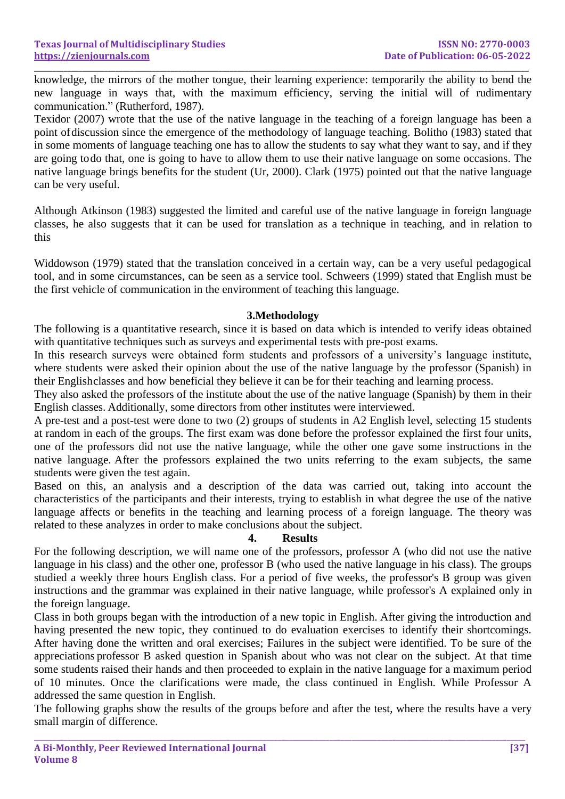knowledge, the mirrors of the mother tongue, their learning experience: temporarily the ability to bend the new language in ways that, with the maximum efficiency, serving the initial will of rudimentary communication." (Rutherford, 1987).

**\_\_\_\_\_\_\_\_\_\_\_\_\_\_\_\_\_\_\_\_\_\_\_\_\_\_\_\_\_\_\_\_\_\_\_\_\_\_\_\_\_\_\_\_\_\_\_\_\_\_\_\_\_\_\_\_\_\_\_\_\_\_\_\_\_\_\_\_\_\_\_\_\_\_\_\_\_\_\_\_\_\_\_\_\_\_\_\_\_\_\_\_\_\_\_\_\_\_\_\_\_\_\_\_\_\_\_\_\_\_\_\_\_\_\_\_\_\_\_\_\_\_\_\_\_\_\_\_\_\_\_\_\_\_**

Texidor (2007) wrote that the use of the native language in the teaching of a foreign language has been a point ofdiscussion since the emergence of the methodology of language teaching. Bolitho (1983) stated that in some moments of language teaching one has to allow the students to say what they want to say, and if they are going todo that, one is going to have to allow them to use their native language on some occasions. The native language brings benefits for the student (Ur, 2000). Clark (1975) pointed out that the native language can be very useful.

Although Atkinson (1983) suggested the limited and careful use of the native language in foreign language classes, he also suggests that it can be used for translation as a technique in teaching, and in relation to this

Widdowson (1979) stated that the translation conceived in a certain way, can be a very useful pedagogical tool, and in some circumstances, can be seen as a service tool. Schweers (1999) stated that English must be the first vehicle of communication in the environment of teaching this language.

# **3.Methodology**

The following is a quantitative research, since it is based on data which is intended to verify ideas obtained with quantitative techniques such as surveys and experimental tests with pre-post exams.

In this research surveys were obtained form students and professors of a university's language institute, where students were asked their opinion about the use of the native language by the professor (Spanish) in their Englishclasses and how beneficial they believe it can be for their teaching and learning process.

They also asked the professors of the institute about the use of the native language (Spanish) by them in their English classes. Additionally, some directors from other institutes were interviewed.

A pre-test and a post-test were done to two (2) groups of students in A2 English level, selecting 15 students at random in each of the groups. The first exam was done before the professor explained the first four units, one of the professors did not use the native language, while the other one gave some instructions in the native language. After the professors explained the two units referring to the exam subjects, the same students were given the test again.

Based on this, an analysis and a description of the data was carried out, taking into account the characteristics of the participants and their interests, trying to establish in what degree the use of the native language affects or benefits in the teaching and learning process of a foreign language. The theory was related to these analyzes in order to make conclusions about the subject.

# **4. Results**

For the following description, we will name one of the professors, professor A (who did not use the native language in his class) and the other one, professor B (who used the native language in his class). The groups studied a weekly three hours English class. For a period of five weeks, the professor's B group was given instructions and the grammar was explained in their native language, while professor's A explained only in the foreign language.

Class in both groups began with the introduction of a new topic in English. After giving the introduction and having presented the new topic, they continued to do evaluation exercises to identify their shortcomings. After having done the written and oral exercises; Failures in the subject were identified. To be sure of the appreciations professor B asked question in Spanish about who was not clear on the subject. At that time some students raised their hands and then proceeded to explain in the native language for a maximum period of 10 minutes. Once the clarifications were made, the class continued in English. While Professor A addressed the same question in English.

The following graphs show the results of the groups before and after the test, where the results have a very small margin of difference.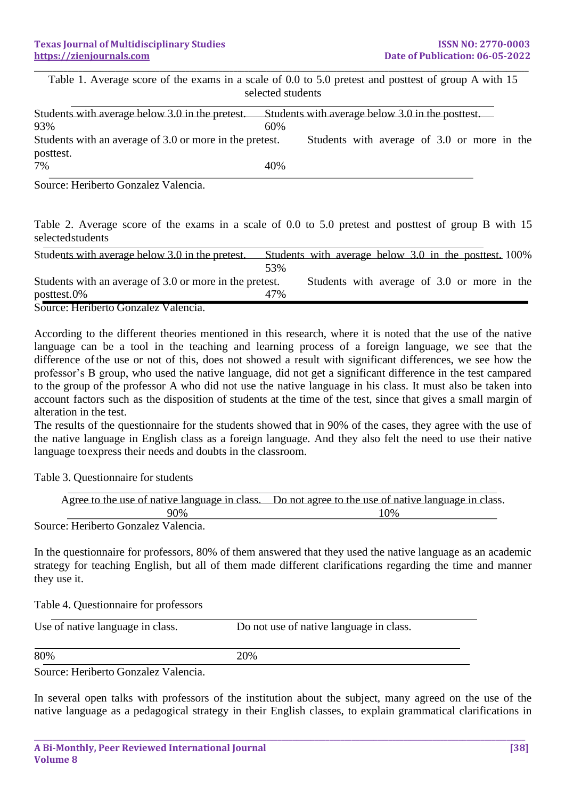Table 1. Average score of the exams in a scale of 0.0 to 5.0 pretest and posttest of group A with 15 selected students

**\_\_\_\_\_\_\_\_\_\_\_\_\_\_\_\_\_\_\_\_\_\_\_\_\_\_\_\_\_\_\_\_\_\_\_\_\_\_\_\_\_\_\_\_\_\_\_\_\_\_\_\_\_\_\_\_\_\_\_\_\_\_\_\_\_\_\_\_\_\_\_\_\_\_\_\_\_\_\_\_\_\_\_\_\_\_\_\_\_\_\_\_\_\_\_\_\_\_\_\_\_\_\_\_\_\_\_\_\_\_\_\_\_\_\_\_\_\_\_\_\_\_\_\_\_\_\_\_\_\_\_\_\_\_**

| Students with average below 3.0 in the pretest.                      | Students with average below 3.0 in the posttest. |                                             |  |  |  |  |
|----------------------------------------------------------------------|--------------------------------------------------|---------------------------------------------|--|--|--|--|
| 93%                                                                  | 60%                                              |                                             |  |  |  |  |
| Students with an average of 3.0 or more in the pretest.<br>posttest. |                                                  | Students with average of 3.0 or more in the |  |  |  |  |
| 7%                                                                   | 40%                                              |                                             |  |  |  |  |

Source: Heriberto Gonzalez Valencia.

Table 2. Average score of the exams in a scale of 0.0 to 5.0 pretest and posttest of group B with 15 selectedstudents

| Students with average below 3.0 in the pretest.         | Students with average below 3.0 in the posttest 100% |  |  |                                             |  |
|---------------------------------------------------------|------------------------------------------------------|--|--|---------------------------------------------|--|
|                                                         | 53%                                                  |  |  |                                             |  |
| Students with an average of 3.0 or more in the pretest. |                                                      |  |  | Students with average of 3.0 or more in the |  |
| posttest.0%                                             | 47%                                                  |  |  |                                             |  |
| Source: Heriberto Gonzalez Valencia.                    |                                                      |  |  |                                             |  |

According to the different theories mentioned in this research, where it is noted that the use of the native language can be a tool in the teaching and learning process of a foreign language, we see that the difference ofthe use or not of this, does not showed a result with significant differences, we see how the professor's B group, who used the native language, did not get a significant difference in the test campared to the group of the professor A who did not use the native language in his class. It must also be taken into account factors such as the disposition of students at the time of the test, since that gives a small margin of alteration in the test.

The results of the questionnaire for the students showed that in 90% of the cases, they agree with the use of the native language in English class as a foreign language. And they also felt the need to use their native language toexpress their needs and doubts in the classroom.

Table 3. Questionnaire for students

|        | Agree to the use of native language in class. Do not agree to the use of native language in class. |
|--------|----------------------------------------------------------------------------------------------------|
| 90%    | 10%                                                                                                |
| $\sim$ |                                                                                                    |

Source: Heriberto Gonzalez Valencia.

In the questionnaire for professors, 80% of them answered that they used the native language as an academic strategy for teaching English, but all of them made different clarifications regarding the time and manner they use it.

Table 4. Questionnaire for professors

| Use of native language in class. | Do not use of native language in class. |
|----------------------------------|-----------------------------------------|
| 80%                              | 20%                                     |

Source: Heriberto Gonzalez Valencia.

In several open talks with professors of the institution about the subject, many agreed on the use of the native language as a pedagogical strategy in their English classes, to explain grammatical clarifications in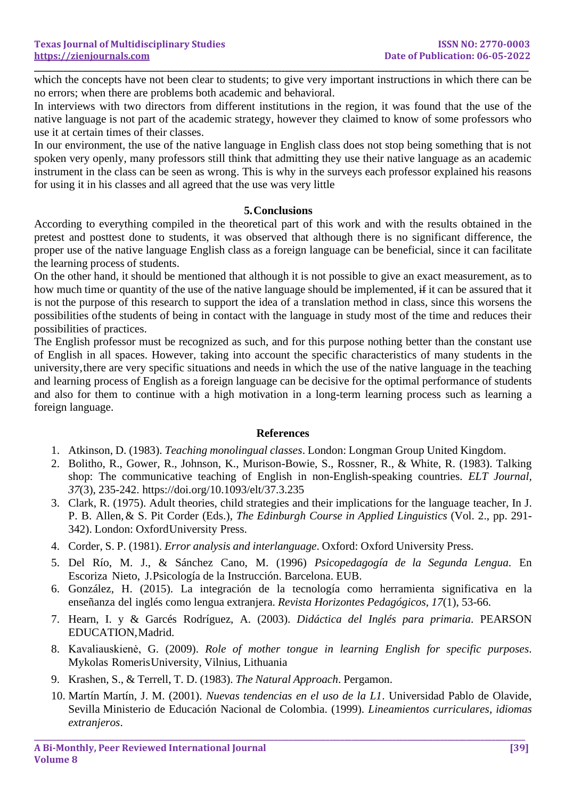which the concepts have not been clear to students; to give very important instructions in which there can be no errors; when there are problems both academic and behavioral.

**\_\_\_\_\_\_\_\_\_\_\_\_\_\_\_\_\_\_\_\_\_\_\_\_\_\_\_\_\_\_\_\_\_\_\_\_\_\_\_\_\_\_\_\_\_\_\_\_\_\_\_\_\_\_\_\_\_\_\_\_\_\_\_\_\_\_\_\_\_\_\_\_\_\_\_\_\_\_\_\_\_\_\_\_\_\_\_\_\_\_\_\_\_\_\_\_\_\_\_\_\_\_\_\_\_\_\_\_\_\_\_\_\_\_\_\_\_\_\_\_\_\_\_\_\_\_\_\_\_\_\_\_\_\_**

In interviews with two directors from different institutions in the region, it was found that the use of the native language is not part of the academic strategy, however they claimed to know of some professors who use it at certain times of their classes.

In our environment, the use of the native language in English class does not stop being something that is not spoken very openly, many professors still think that admitting they use their native language as an academic instrument in the class can be seen as wrong. This is why in the surveys each professor explained his reasons for using it in his classes and all agreed that the use was very little

# **5.Conclusions**

According to everything compiled in the theoretical part of this work and with the results obtained in the pretest and posttest done to students, it was observed that although there is no significant difference, the proper use of the native language English class as a foreign language can be beneficial, since it can facilitate the learning process of students.

On the other hand, it should be mentioned that although it is not possible to give an exact measurement, as to how much time or quantity of the use of the native language should be implemented, if it can be assured that it is not the purpose of this research to support the idea of a translation method in class, since this worsens the possibilities ofthe students of being in contact with the language in study most of the time and reduces their possibilities of practices.

The English professor must be recognized as such, and for this purpose nothing better than the constant use of English in all spaces. However, taking into account the specific characteristics of many students in the university,there are very specific situations and needs in which the use of the native language in the teaching and learning process of English as a foreign language can be decisive for the optimal performance of students and also for them to continue with a high motivation in a long-term learning process such as learning a foreign language.

# **References**

- 1. Atkinson, D. (1983). *Teaching monolingual classes*. London: Longman Group United Kingdom.
- 2. Bolitho, R., Gower, R., Johnson, K., Murison-Bowie, S., Rossner, R., & White, R. (1983). Talking shop: The communicative teaching of English in non-English-speaking countries. *ELT Journal, 37*(3), 235-242. https://doi.org/10.1093/elt/37.3.235
- 3. Clark, R. (1975). Adult theories, child strategies and their implications for the language teacher, In J. P. B. Allen,& S. Pit Corder (Eds.), *The Edinburgh Course in Applied Linguistics* (Vol. 2., pp. 291- 342). London: OxfordUniversity Press.
- 4. Corder, S. P. (1981). *Error analysis and interlanguage*. Oxford: Oxford University Press.
- 5. Del Río, M. J., & Sánchez Cano, M. (1996) *Psicopedagogía de la Segunda Lengua*. En Escoriza Nieto, J.Psicología de la Instrucción. Barcelona. EUB.
- 6. González, H. (2015). La integración de la tecnología como herramienta significativa en la enseñanza del inglés como lengua extranjera. *Revista Horizontes Pedagógicos, 17*(1), 53-66.
- 7. Hearn, I. y & Garcés Rodríguez, A. (2003). *Didáctica del Inglés para primaria*. PEARSON EDUCATION,Madrid.
- 8. Kavaliauskienė, G. (2009). *Role of mother tongue in learning English for specific purposes*. Mykolas RomerisUniversity, Vilnius, Lithuania
- 9. Krashen, S., & Terrell, T. D. (1983). *The Natural Approach*. Pergamon.
- 10. Martín Martín, J. M. (2001). *Nuevas tendencias en el uso de la L1*. Universidad Pablo de Olavide, Sevilla Ministerio de Educación Nacional de Colombia. (1999). *Lineamientos curriculares, idiomas extranjeros*.